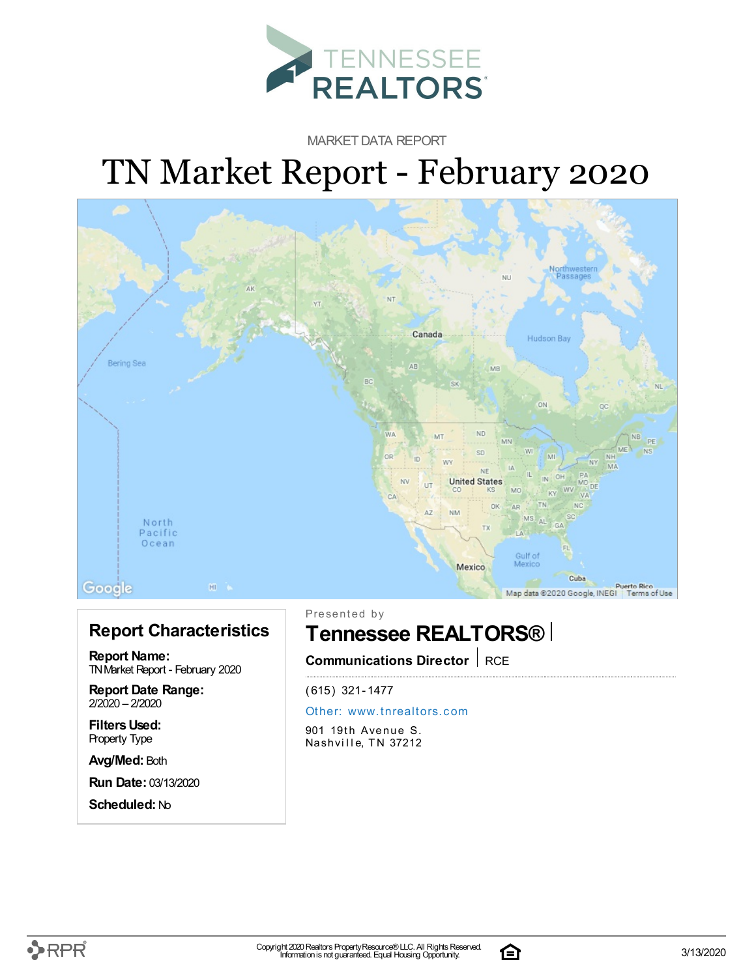

MARKET DATA REPORT

# TN Market Report - February 2020



#### **Report Characteristics**

**Report Name:** TNMarket Report - February 2020

**Report Date Range:** 2/2020 – 2/2020

**FiltersUsed:** Property Type

**Avg/Med:** Both

**Run Date:** 03/13/2020

**Scheduled:** No

Presented by

## **Tennessee REALTORS®**

**Communications Director** RCE

(615) 321-1477

#### Other: [www.](http://www.tnrealtors.com)tnrealtors.com

901 19th Avenue S. Nashville, TN 37212



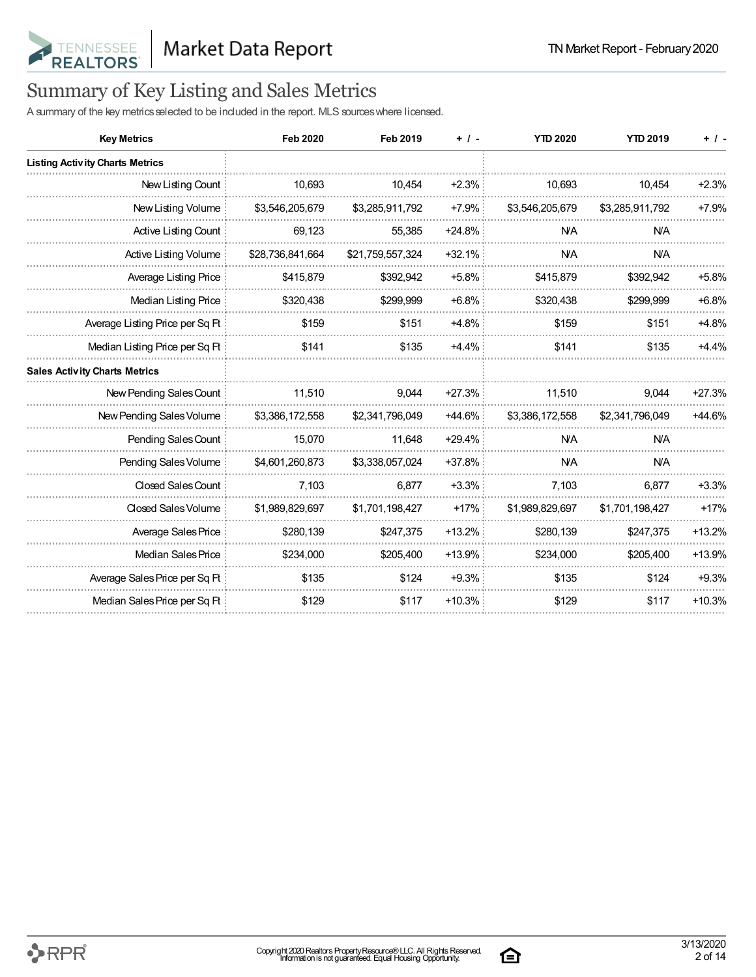

## Summary of Key Listing and Sales Metrics

A summary of the key metrics selected to be included in the report. MLS sources where licensed.

| <b>Key Metrics</b>                     | <b>Feb 2020</b>  | <b>Feb 2019</b>  | $+$ / $-$ | <b>YTD 2020</b> | <b>YTD 2019</b> | $+$ / -  |
|----------------------------------------|------------------|------------------|-----------|-----------------|-----------------|----------|
| <b>Listing Activity Charts Metrics</b> |                  |                  |           |                 |                 |          |
| New Listing Count                      | 10,693           | 10,454           | $+2.3%$   | 10,693          | 10,454          | $+2.3%$  |
| New Listing Volume                     | \$3,546,205,679  | \$3,285,911,792  | $+7.9%$   | \$3,546,205,679 | \$3,285,911,792 | $+7.9%$  |
| Active Listing Count                   | 69,123           | 55,385           | $+24.8%$  | <b>N/A</b>      | <b>NA</b>       |          |
| Active Listing Volume                  | \$28,736,841,664 | \$21,759,557,324 | $+32.1%$  | <b>N/A</b>      | <b>N/A</b>      |          |
| Average Listing Price                  | \$415,879        | \$392,942        | $+5.8\%$  | \$415,879       | \$392,942       | $+5.8%$  |
| Median Listing Price                   | \$320,438        | \$299,999        | $+6.8\%$  | \$320,438       | \$299,999       | $+6.8%$  |
| Average Listing Price per Sq Ft        | \$159            | \$151            | $+4.8%$   | \$159           | \$151           | $+4.8%$  |
| Median Listing Price per Sq Ft         | \$141            | \$135            | $+4.4%$   | \$141           | \$135           | $+4.4%$  |
| <b>Sales Activity Charts Metrics</b>   |                  |                  |           |                 |                 |          |
| New Pending Sales Count                | 11,510           | 9,044            | $+27.3%$  | 11,510          | 9,044           | $+27.3%$ |
| New Pending Sales Volume               | \$3,386,172,558  | \$2,341,796,049  | $+44.6\%$ | \$3,386,172,558 | \$2,341,796,049 | +44.6%   |
| Pending Sales Count                    | 15,070           | 11.648           | $+29.4%$  | <b>N/A</b>      | <b>N/A</b>      |          |
| Pending Sales Volume                   | \$4,601,260,873  | \$3,338,057,024  | $+37.8%$  | <b>N/A</b>      | <b>N/A</b>      |          |
| Closed Sales Count                     | 7,103            | 6,877            | $+3.3%$   | 7,103           | 6,877           | $+3.3%$  |
| Closed Sales Volume                    | \$1,989,829,697  | \$1,701,198,427  | $+17%$    | \$1,989,829,697 | \$1,701,198,427 | $+17%$   |
| Average Sales Price                    | \$280,139        | \$247,375        | $+13.2%$  | \$280,139       | \$247,375       | $+13.2%$ |
| Median Sales Price                     | \$234,000        | \$205,400        | $+13.9%$  | \$234,000       | \$205,400       | $+13.9%$ |
| Average Sales Price per Sq Ft          | \$135            | \$124            | $+9.3%$   | \$135           | \$124           | $+9.3%$  |
| Median Sales Price per Sq Ft           | \$129            | \$117            | $+10.3%$  | \$129           | \$117           | $+10.3%$ |

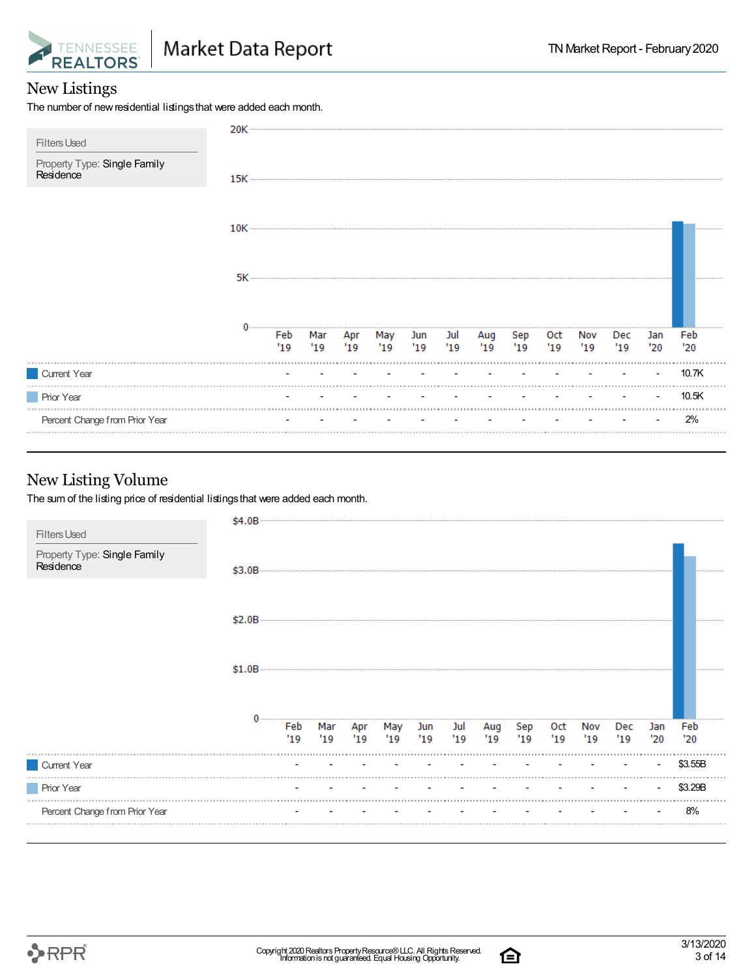

#### New Listings

The number of new residential listings that were added each month.

| <b>Filters Used</b>                       | 20K ············· |             |            |                                    |  |            |            |             |            |            |            |            |
|-------------------------------------------|-------------------|-------------|------------|------------------------------------|--|------------|------------|-------------|------------|------------|------------|------------|
| Property Type: Single Family<br>Residence | $15K$ $-$         |             |            |                                    |  |            |            |             |            |            |            |            |
|                                           |                   |             |            |                                    |  |            |            |             |            |            |            |            |
|                                           |                   |             |            |                                    |  |            |            |             |            |            |            |            |
|                                           |                   | Feb<br>"19" | Mar<br>'19 | Apr May Jun Jul<br>'19 '19 '19 '19 |  | Aug<br>'19 | Sep<br>'19 | Oct<br>"19" | Nov<br>'19 | Dec<br>'19 | Jan<br>'20 | Feb<br>'20 |
| Current Year                              |                   |             |            |                                    |  |            |            |             |            |            |            | 10.7K      |
| <b>Prior Year</b>                         |                   |             |            |                                    |  |            |            |             |            |            |            | 10.5K      |
| Percent Change from Prior Year            |                   |             |            |                                    |  |            |            |             |            |            |            | 2%         |

#### New Listing Volume

The sum of the listing price of residential listings that were added each month.

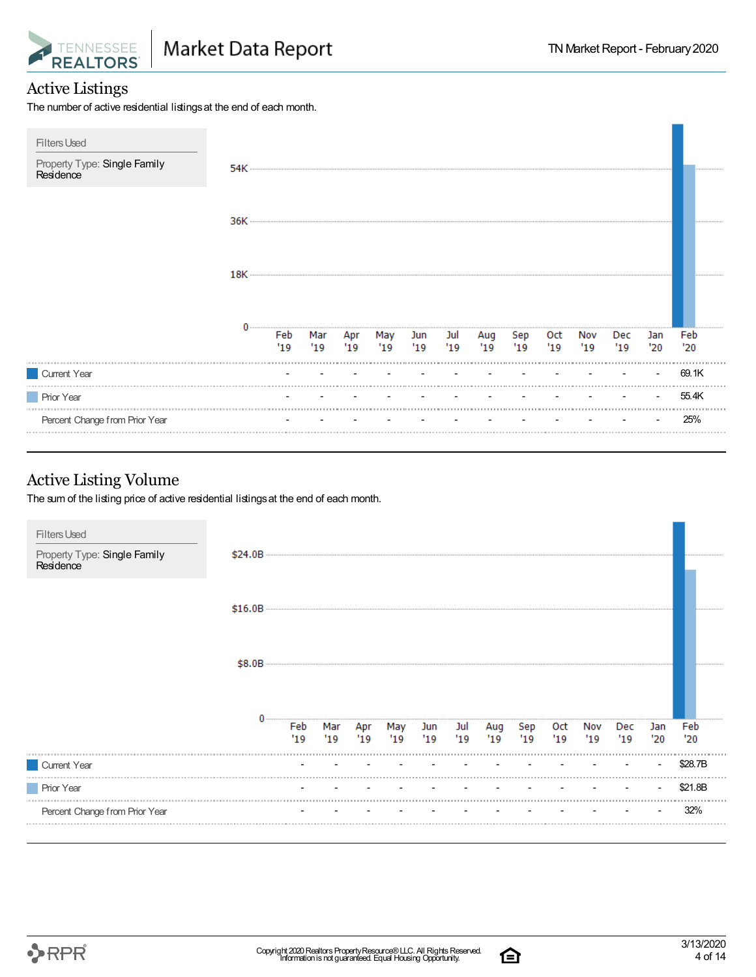

#### Active Listings

The number of active residential listings at the end of each month.

| <b>Filters Used</b><br>Property Type: Single Family<br>Residence | 54K |             |            |                                    |            |                        |           |            |            |            |            |            |            |
|------------------------------------------------------------------|-----|-------------|------------|------------------------------------|------------|------------------------|-----------|------------|------------|------------|------------|------------|------------|
|                                                                  |     |             |            |                                    |            |                        |           |            |            |            |            |            |            |
|                                                                  |     |             |            |                                    |            |                        |           |            |            |            |            |            |            |
|                                                                  |     | Feb<br>"19" | Mar<br>'19 | $\overline{Apr}$ / $\overline{19}$ | May<br>'19 | Jun Jul<br>$'19$ $'19$ | Aug<br>19 | Sep<br>'19 | 0ct<br>'19 | Nov<br>'19 | Dec<br>'19 | Jan<br>'20 | Feb<br>'20 |
| Current Year                                                     |     |             |            |                                    |            |                        |           |            |            |            |            |            | 69.1K      |
| <b>Prior Year</b>                                                |     |             |            |                                    |            |                        |           |            |            |            |            |            | 55.4K      |
| Percent Change from Prior Year                                   |     |             |            |                                    |            |                        |           |            |            |            |            |            | 25%        |

#### Active Listing Volume

The sum of the listing price of active residential listings at the end of each month.



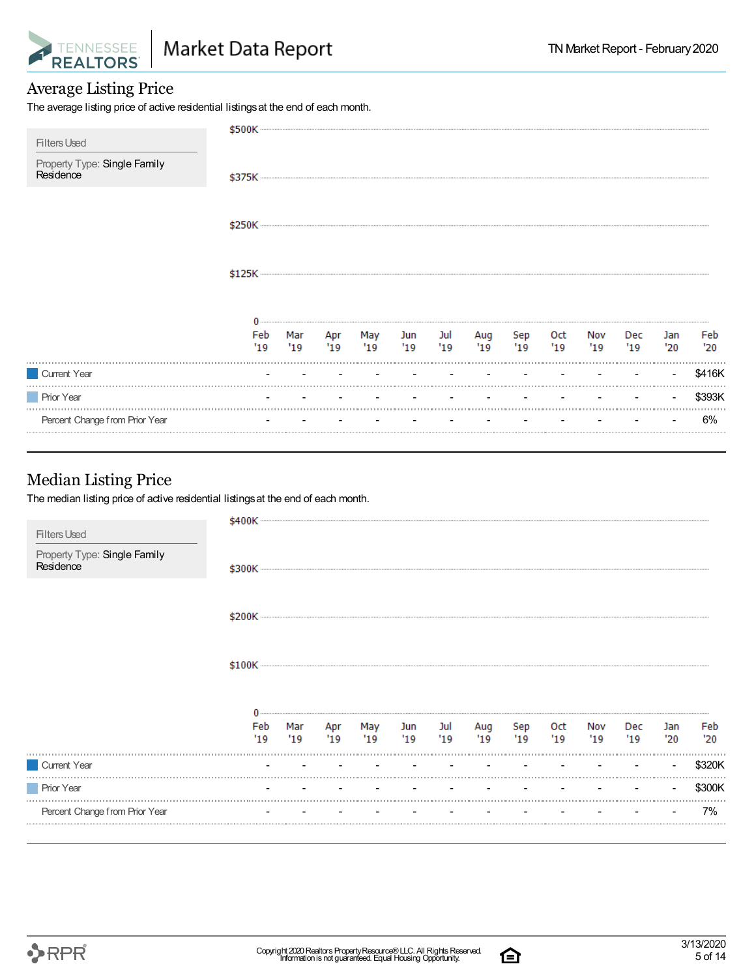

#### Average Listing Price

The average listing price of active residential listings at the end of each month.

| <b>Filters Used</b>                       |     |     |                                    |         |     |         |     |     |     |     |     |        |        |
|-------------------------------------------|-----|-----|------------------------------------|---------|-----|---------|-----|-----|-----|-----|-----|--------|--------|
| Property Type: Single Family<br>Residence |     |     |                                    |         |     |         |     |     |     |     |     |        |        |
|                                           |     |     |                                    |         |     |         |     |     |     |     |     |        |        |
|                                           |     |     |                                    |         |     |         |     |     |     |     |     |        |        |
|                                           |     |     |                                    |         |     |         |     |     |     |     |     |        |        |
|                                           |     |     |                                    |         |     |         |     |     |     |     |     |        |        |
|                                           |     |     |                                    |         |     |         |     |     |     |     |     |        |        |
|                                           | Feb | Mar |                                    | Apr May |     | Jun Jul | Aug | Sep | Oct | Nov | Dec | Jan    | Feb    |
|                                           | '19 | '19 | 19                                 | '19     | '19 | "19"    | '19 | 19  | '19 | '19 | '19 | '20    | '20    |
| Current Year                              |     |     |                                    |         |     |         |     |     |     |     |     |        | \$416K |
| <b>Prior Year</b>                         |     |     | with the company of the company of |         |     |         |     |     |     |     |     | $\sim$ | \$393K |
| Percent Change from Prior Year            |     |     | the company of the company of      |         |     |         |     |     |     |     |     |        | 6%     |
|                                           |     |     |                                    |         |     |         |     |     |     |     |     |        |        |
|                                           |     |     |                                    |         |     |         |     |     |     |     |     |        |        |
| <b>Median Listing Price</b>               |     |     |                                    |         |     |         |     |     |     |     |     |        |        |

The median listing price of active residential listings at the end of each month.

| Property Type: Single Family<br>Residence | \$300K ---- |            |            |            |            |            |            |            |            |            |                      |            |            |
|-------------------------------------------|-------------|------------|------------|------------|------------|------------|------------|------------|------------|------------|----------------------|------------|------------|
|                                           |             |            |            |            |            |            |            |            |            |            |                      |            |            |
|                                           |             |            |            |            |            |            |            |            |            |            |                      |            |            |
|                                           |             |            |            |            |            |            |            |            |            |            |                      |            |            |
|                                           |             |            |            |            |            |            |            |            |            |            |                      |            |            |
|                                           | Feb<br>'19  | Mar<br>'19 | Apr<br>'19 | May<br>'19 | Jun<br>'19 | Jul<br>'19 | Aug<br>'19 | Sep<br>'19 | Oct<br>'19 | Nov<br>'19 | Dec<br>$^{\prime}19$ | Jan<br>'20 | Feb<br>'20 |
| Current Year                              |             |            |            |            |            |            |            |            |            |            |                      |            | \$320K     |
| <b>Prior Year</b>                         |             |            |            |            |            |            |            |            |            |            |                      |            | \$300K     |

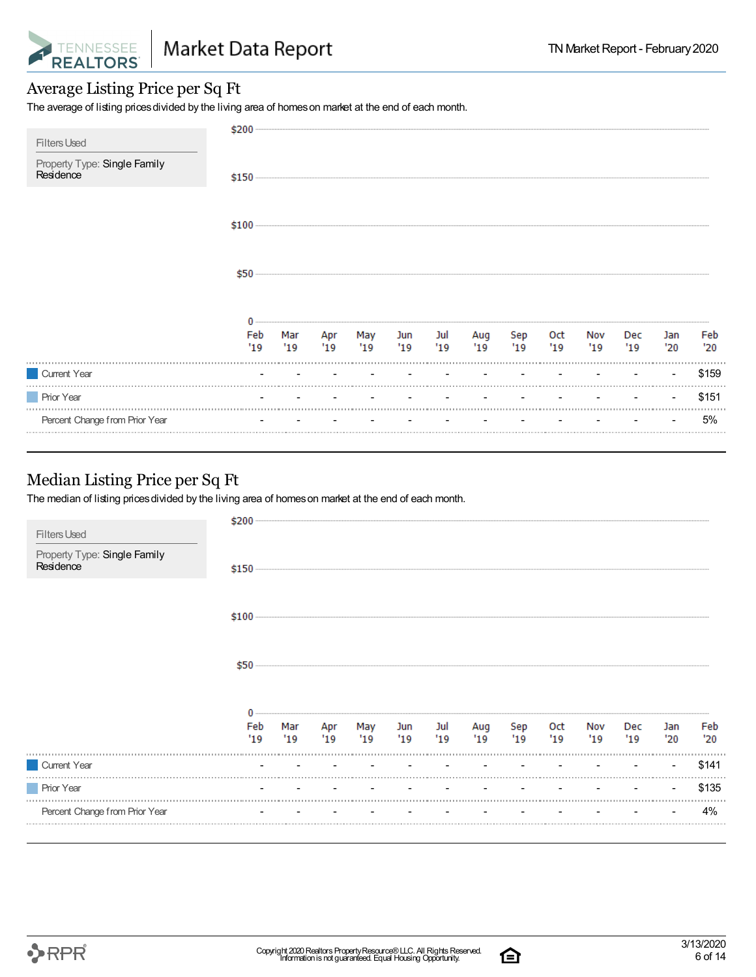

#### Average Listing Price per Sq Ft

The average of listing prices divided by the living area of homes on market at the end of each month.

|                                                                  | \$200  |  |                                            |  |     |     |     |     |     |     |       |
|------------------------------------------------------------------|--------|--|--------------------------------------------|--|-----|-----|-----|-----|-----|-----|-------|
| <b>Filters Used</b><br>Property Type: Single Family<br>Residence |        |  |                                            |  |     |     |     |     |     |     |       |
|                                                                  | $$100$ |  |                                            |  |     |     |     |     |     |     |       |
|                                                                  | \$50   |  |                                            |  |     |     |     |     |     |     |       |
|                                                                  |        |  |                                            |  |     |     |     |     |     |     |       |
|                                                                  | Feb    |  | Mar Apr May Jun Jul<br>'19 '19 '19 '19 '19 |  | Aug | Sep | Oct | Nov | Dec | Jan | Feb   |
|                                                                  | 19     |  |                                            |  | 19  | 19  | 19  | 19  | 19  | '20 | '20   |
| Current Year                                                     |        |  |                                            |  |     |     |     |     |     |     | \$159 |
| <b>Prior Year</b>                                                |        |  |                                            |  |     |     |     |     |     |     | \$151 |
| Percent Change from Prior Year                                   |        |  |                                            |  |     |     |     |     |     |     | 5%    |

#### Median Listing Price per Sq Ft

The median of listing prices divided by the living area of homes on market at the end of each month.

| <b>Filters Used</b>                       | \$200     |    |             |             |            |            |           |             |            |           |                   |            |            |
|-------------------------------------------|-----------|----|-------------|-------------|------------|------------|-----------|-------------|------------|-----------|-------------------|------------|------------|
| Property Type: Single Family<br>Residence |           |    |             |             |            |            |           |             |            |           |                   |            |            |
|                                           |           |    |             |             |            |            |           |             |            |           |                   |            |            |
|                                           | \$50      |    |             |             |            |            |           |             |            |           |                   |            |            |
|                                           | Feb<br>19 | 19 | $'19$ $'19$ | Mar Apr May | Jun<br>'19 | Jul<br>'19 | Aug<br>19 | Sep<br>"19" | Oct<br>'19 | Nov<br>19 | <b>Dec</b><br>'19 | Jan<br>'20 | Feb<br>'20 |
| Current Year                              |           |    |             |             |            |            |           |             |            |           |                   |            | \$141      |
| <b>Prior Year</b>                         |           |    |             |             |            |            |           |             |            |           |                   |            | \$135      |
| Percent Change from Prior Year            |           |    |             |             |            |            |           |             |            |           |                   |            | 4%         |

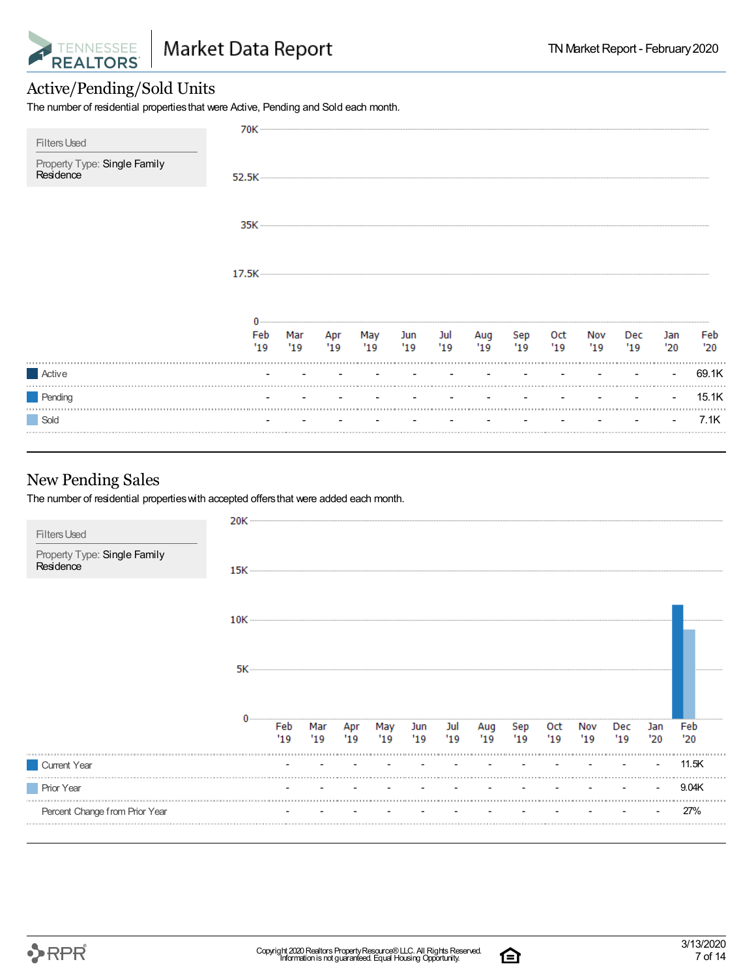

#### Active/Pending/Sold Units

The number of residential propertiesthat were Active, Pending and Sold each month.

|                                           | 70K |     |    |         |     |     |                 |     |        |     |     |        |       |
|-------------------------------------------|-----|-----|----|---------|-----|-----|-----------------|-----|--------|-----|-----|--------|-------|
| <b>Filters Used</b>                       |     |     |    |         |     |     |                 |     |        |     |     |        |       |
| Property Type: Single Family<br>Residence |     |     |    |         |     |     |                 |     |        |     |     |        |       |
|                                           |     |     |    |         |     |     |                 |     |        |     |     |        |       |
|                                           |     |     |    |         |     |     |                 |     |        |     |     |        |       |
|                                           |     |     |    |         |     |     |                 |     |        |     |     |        |       |
|                                           |     |     |    |         |     |     |                 |     |        |     |     |        |       |
|                                           |     |     |    |         |     |     |                 |     |        |     |     |        |       |
|                                           |     |     |    |         |     |     |                 |     |        |     |     |        |       |
|                                           |     |     |    |         |     |     |                 |     |        |     |     |        |       |
|                                           | Feb | Mar |    | Apr May |     |     | Jun Jul Aug Sep |     | Oct    | Nov | Dec | Jan    | Feb   |
|                                           | '19 | '19 | 19 | '19     | '19 | '19 | 19              | '19 | $19 -$ | 19  | 19  | '20'   | '20   |
| Active                                    |     |     |    |         |     |     |                 |     |        |     |     | $\sim$ | 69.1K |
| Pending                                   |     |     |    |         |     |     |                 |     |        |     |     |        | 15.1K |
| Sold                                      |     |     |    |         |     |     |                 |     |        |     |     | $\sim$ | 7.1K  |
|                                           |     |     |    |         |     |     |                 |     |        |     |     |        |       |

#### New Pending Sales

The number of residential propertieswith accepted offersthat were added each month.

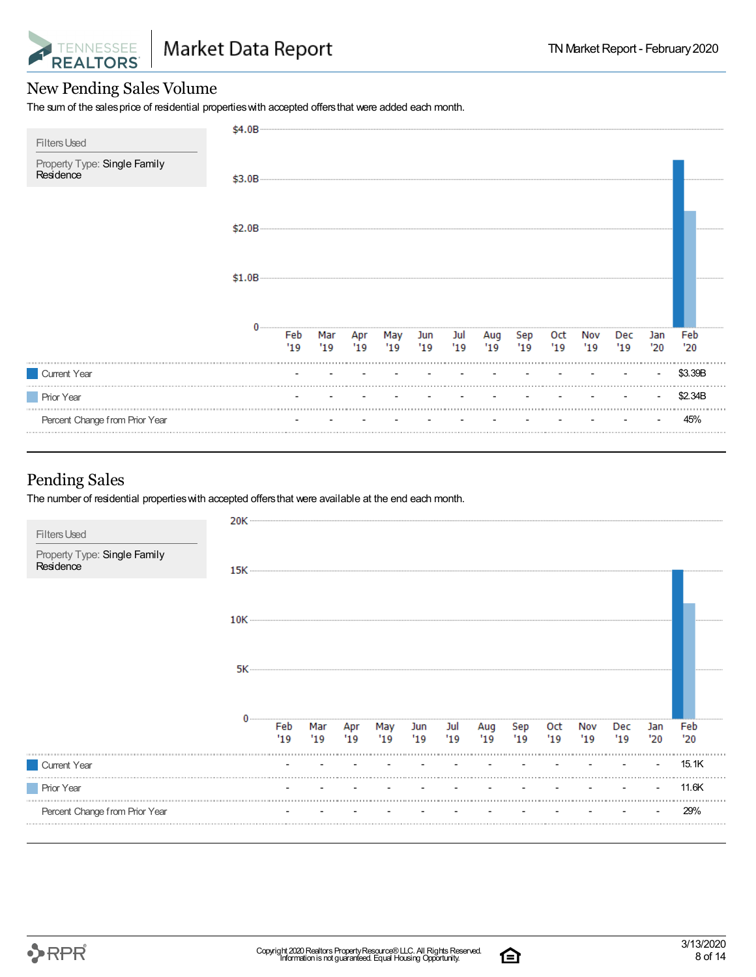

#### New Pending Sales Volume

The sum of the sales price of residential properties with accepted offers that were added each month.

| <b>Filters Used</b>                       | \$4.0B |            |      |                |                                    |  |           |            |            |            |            |            |  |
|-------------------------------------------|--------|------------|------|----------------|------------------------------------|--|-----------|------------|------------|------------|------------|------------|--|
| Property Type: Single Family<br>Residence | \$3.0B |            |      |                |                                    |  |           |            |            |            |            |            |  |
|                                           | \$2.0B |            |      |                |                                    |  |           |            |            |            |            |            |  |
|                                           | \$1.0B |            |      |                |                                    |  |           |            |            |            |            |            |  |
|                                           |        | Feb<br>'19 | "19" | Mar Apr<br>'19 | May Jun Jul Aug<br>'19 '19 '19 '19 |  | Sep<br>19 | 0ct<br>'19 | Nov<br>'19 | Dec<br>'19 | Jan<br>'20 | Feb<br>'20 |  |
| Current Year                              |        |            |      |                |                                    |  |           |            |            |            |            | \$3.39B    |  |
| <b>Prior Year</b>                         |        |            |      |                |                                    |  |           |            |            |            |            | \$2.34B    |  |
| Percent Change from Prior Year            |        |            |      |                |                                    |  |           |            |            |            |            | 45%        |  |
|                                           |        |            |      |                |                                    |  |           |            |            |            |            |            |  |

#### Pending Sales

The number of residential properties with accepted offers that were available at the end each month.

|                                           | 20K — |            |            |     |                     |     |            |             |            |             |            |            |            |            |
|-------------------------------------------|-------|------------|------------|-----|---------------------|-----|------------|-------------|------------|-------------|------------|------------|------------|------------|
| <b>Filters Used</b>                       |       |            |            |     |                     |     |            |             |            |             |            |            |            |            |
| Property Type: Single Family<br>Residence | 15K   |            |            |     |                     |     |            |             |            |             |            |            |            |            |
|                                           |       |            |            |     |                     |     |            |             |            |             |            |            |            |            |
|                                           |       |            |            |     |                     |     |            |             |            |             |            |            |            |            |
|                                           |       |            |            |     |                     |     |            |             |            |             |            |            |            |            |
|                                           |       |            |            |     |                     |     |            |             |            |             |            |            |            |            |
|                                           |       | Feb<br>'19 | Mar<br>'19 | '19 | Apr May Jun<br>"19" | '19 | Jul<br>'19 | Aug<br>"19" | Sep<br>'19 | Oct<br>"19" | Nov<br>'19 | Dec<br>'19 | Jan<br>'20 | Feb<br>'20 |
| Current Year                              |       |            |            |     |                     |     |            |             |            |             |            |            |            | 15.1K      |
| <b>Prior Year</b>                         |       |            |            |     |                     |     |            |             |            |             |            |            |            | 11.6K      |
| Percent Change from Prior Year            |       |            |            |     |                     |     |            |             |            |             |            |            |            | 29%        |
|                                           |       |            |            |     |                     |     |            |             |            |             |            |            |            |            |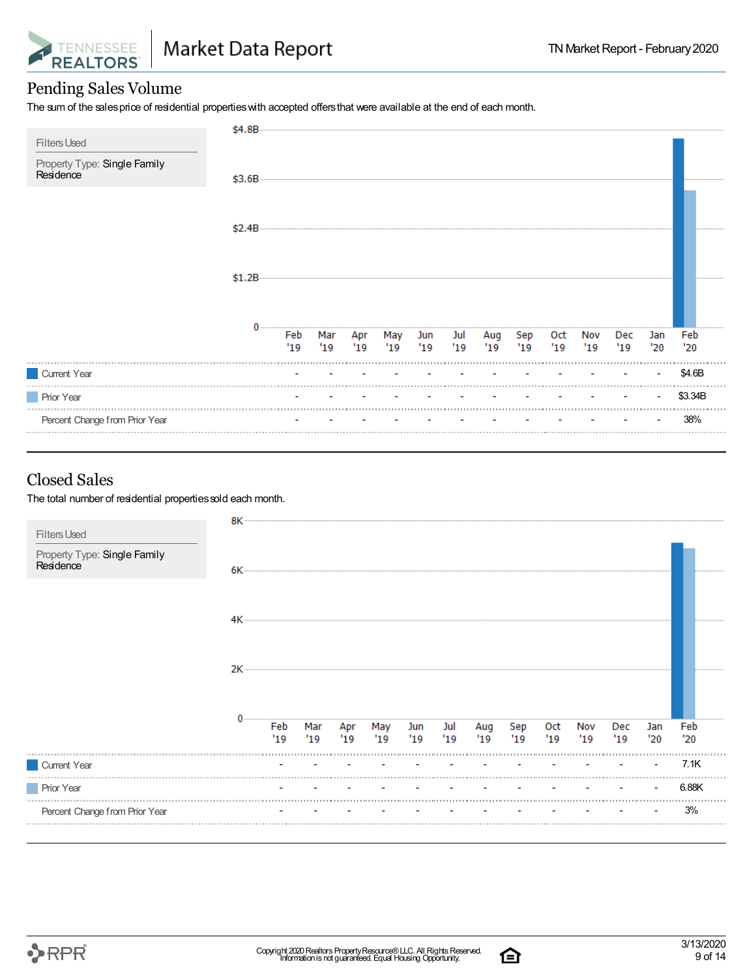

### Pending Sales Volume

The sum of the sales price of residential properties with accepted offers that were available at the end of each month.

| <b>Filters Used</b>                       | \$4.8B    |  |                                    |  |                            |           |           |            |            |            |            |
|-------------------------------------------|-----------|--|------------------------------------|--|----------------------------|-----------|-----------|------------|------------|------------|------------|
| Property Type: Single Family<br>Residence | \$3.6B    |  |                                    |  |                            |           |           |            |            |            |            |
|                                           | $$2.4B -$ |  |                                    |  |                            |           |           |            |            |            |            |
|                                           | \$1.2B    |  |                                    |  |                            |           |           |            |            |            |            |
|                                           |           |  | Feb Mar Apr May<br>'19 '19 '19 '19 |  | Jun Jul Aug<br>'19 '19 '19 | Sep<br>19 | Oct<br>19 | Nov<br>'19 | Dec<br>'19 | Jan<br>'20 | Feb<br>'20 |
| Current Year                              |           |  |                                    |  |                            |           |           |            |            |            | \$4.6B     |
| Prior Year                                |           |  |                                    |  |                            |           |           |            |            |            | \$3.34B    |
| Percent Change from Prior Year            |           |  |                                    |  |                            |           |           |            |            |            | 38%        |

#### Closed Sales

The total number of residential properties sold each month.

| <b>Filters Used</b>                       |      |            |     |     |                        |     |            |            |            |            |            |            |            |            |
|-------------------------------------------|------|------------|-----|-----|------------------------|-----|------------|------------|------------|------------|------------|------------|------------|------------|
| Property Type: Single Family<br>Residence | 6K – |            |     |     |                        |     |            |            |            |            |            |            |            |            |
|                                           | 4К   |            |     |     |                        |     |            |            |            |            |            |            |            |            |
|                                           | 2K   |            |     |     |                        |     |            |            |            |            |            |            |            |            |
|                                           |      | Feb<br>'19 | '19 | '19 | Mar Apr May Jun<br>'19 | '19 | Jul<br>'19 | Aug<br>'19 | Sep<br>'19 | Oct<br>'19 | Nov<br>'19 | Dec<br>'19 | Jan<br>'20 | Feb<br>'20 |
| Current Year                              |      |            |     |     |                        |     |            |            |            |            |            |            |            | 7.1K       |
| <b>Prior Year</b>                         |      |            |     |     |                        |     |            |            |            |            |            |            |            | 6.88K      |
| Percent Change from Prior Year            |      |            |     |     |                        |     |            |            |            |            |            |            |            | 3%         |

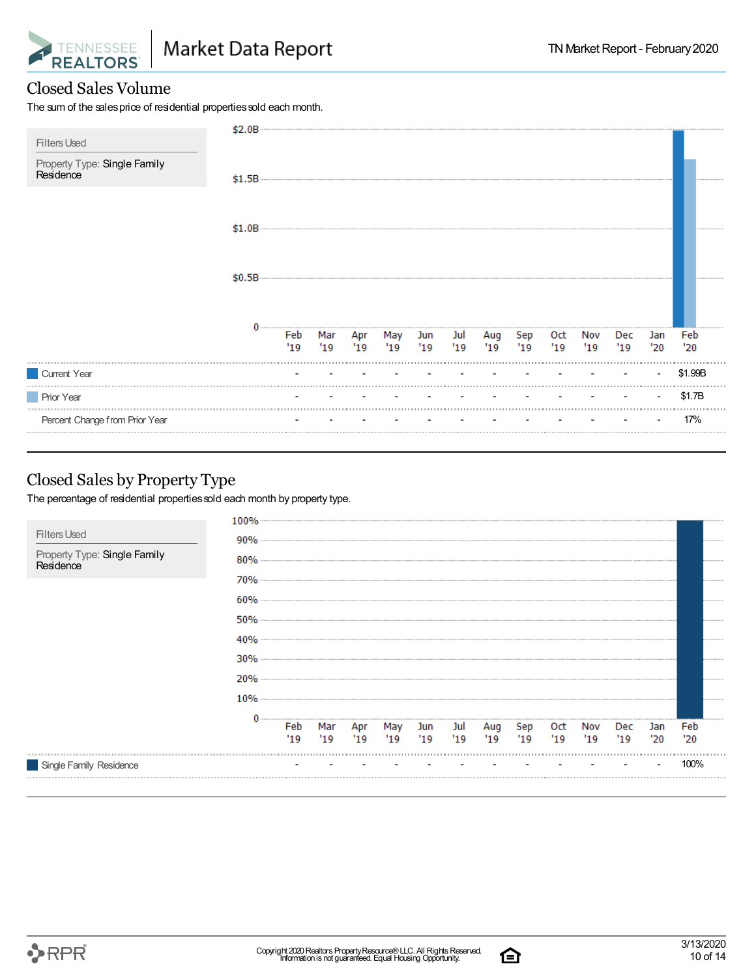

#### Closed Sales Volume

The sum of the sales price of residential properties sold each month.

| <b>Filters Used</b>                       | \$2.0B |     |             |    |                 |     |    |    |     |     |     |     |     |         |
|-------------------------------------------|--------|-----|-------------|----|-----------------|-----|----|----|-----|-----|-----|-----|-----|---------|
| Property Type: Single Family<br>Residence | \$1.5B |     |             |    |                 |     |    |    |     |     |     |     |     |         |
|                                           | \$1.0B |     |             |    |                 |     |    |    |     |     |     |     |     |         |
|                                           | \$0.5B |     |             |    |                 |     |    |    |     |     |     |     |     |         |
|                                           |        |     | Feb Mar Apr |    | May Jun Jul Aug |     |    |    | Sep | 0ct | Nov | Dec | Jan | Feb     |
|                                           |        | '19 | '19         | 19 | '19             | '19 | 19 | 19 | 19  | 19  | 19  | '19 | '20 | '20     |
| Current Year                              |        |     |             |    |                 |     |    |    |     |     |     |     |     | \$1.99B |
| <b>Prior Year</b>                         |        |     |             |    |                 |     |    |    |     |     |     |     |     | \$1.7B  |
| Percent Change from Prior Year            |        |     |             |    |                 |     |    |    |     |     |     |     |     | 17%     |

#### Closed Sales by Property Type

The percentage of residential properties sold each month by property type.



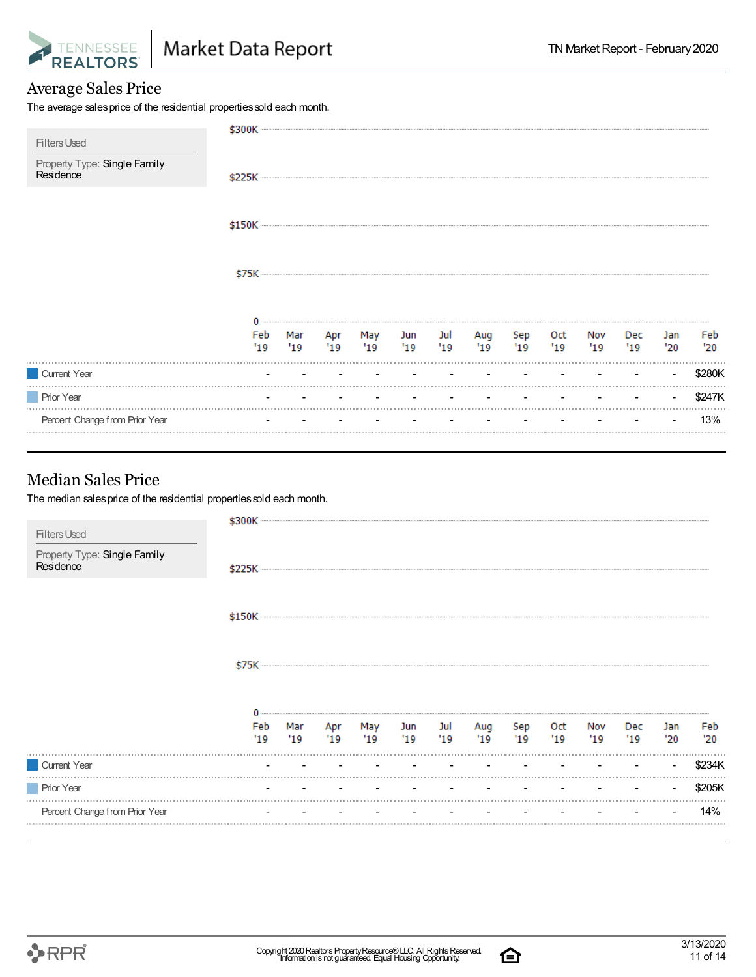

#### Average Sales Price

The average sales price of the residential properties sold each month.

| <b>Filters Used</b>                                                                                |           |                                              |               |                  |            |            |               |            |           |             |                                 |            |            |
|----------------------------------------------------------------------------------------------------|-----------|----------------------------------------------|---------------|------------------|------------|------------|---------------|------------|-----------|-------------|---------------------------------|------------|------------|
| Property Type: Single Family<br>Residence                                                          |           |                                              |               |                  |            |            |               |            |           |             |                                 |            |            |
|                                                                                                    |           |                                              |               |                  |            |            |               |            |           |             |                                 |            |            |
|                                                                                                    |           |                                              |               |                  |            |            |               |            |           |             |                                 |            |            |
|                                                                                                    | Feb<br>19 | Mar<br>19                                    | Apr<br>$19 -$ | May<br>19        | Jun<br>'19 | Jul<br>'19 | Aug<br>$19 -$ | Sep<br>'19 | Oct<br>19 | Nov<br>"19" | Dec.<br>'19                     | Jan<br>'20 | Feb<br>'20 |
| Current Year                                                                                       |           | the control of the control of the control of |               | $\sim$ 100 $\mu$ |            |            |               |            |           |             | the company of the company of   |            | \$280K     |
| <b>Prior Year</b>                                                                                  |           |                                              |               |                  |            |            |               |            |           |             | the contract of the contract of |            | \$247K     |
| Percent Change from Prior Year                                                                     |           |                                              |               |                  |            |            |               |            |           |             |                                 |            | 13%        |
| <b>Median Sales Price</b><br>The median sales price of the residential properties sold each month. |           |                                              |               |                  |            |            |               |            |           |             |                                 |            |            |
| <b>Filters Used</b><br>Property Type: Single Family<br>Residence                                   |           |                                              |               |                  |            |            |               |            |           |             |                                 |            |            |
|                                                                                                    |           |                                              |               |                  |            |            |               |            |           |             |                                 |            |            |

\$150K

\$75K

|                                | 19 | Mar | Apr<br>19 | May<br>'19 | Jun<br>119               | Jul<br>19                | Aug<br>"19"              | Sep<br>'19 | 0ct<br>'19 | Nov<br>'19 | Dec<br>$^{\prime}19$     | Jar<br>'20 | Feb<br>'20 |
|--------------------------------|----|-----|-----------|------------|--------------------------|--------------------------|--------------------------|------------|------------|------------|--------------------------|------------|------------|
| <b>Current Year</b>            |    |     |           |            | $\overline{a}$           | $\overline{\phantom{0}}$ | $\overline{\phantom{a}}$ |            |            |            | $\overline{\phantom{a}}$ |            |            |
| <b>Prior Year</b>              |    |     |           |            | $\overline{\phantom{0}}$ | $\overline{\phantom{0}}$ | $\overline{\phantom{0}}$ |            |            |            |                          |            |            |
| Percent Change from Prior Year |    |     |           |            | $\overline{\phantom{a}}$ | $\overline{\phantom{a}}$ |                          |            |            |            |                          |            | 4%         |
|                                |    |     |           |            |                          |                          |                          |            |            |            |                          |            |            |

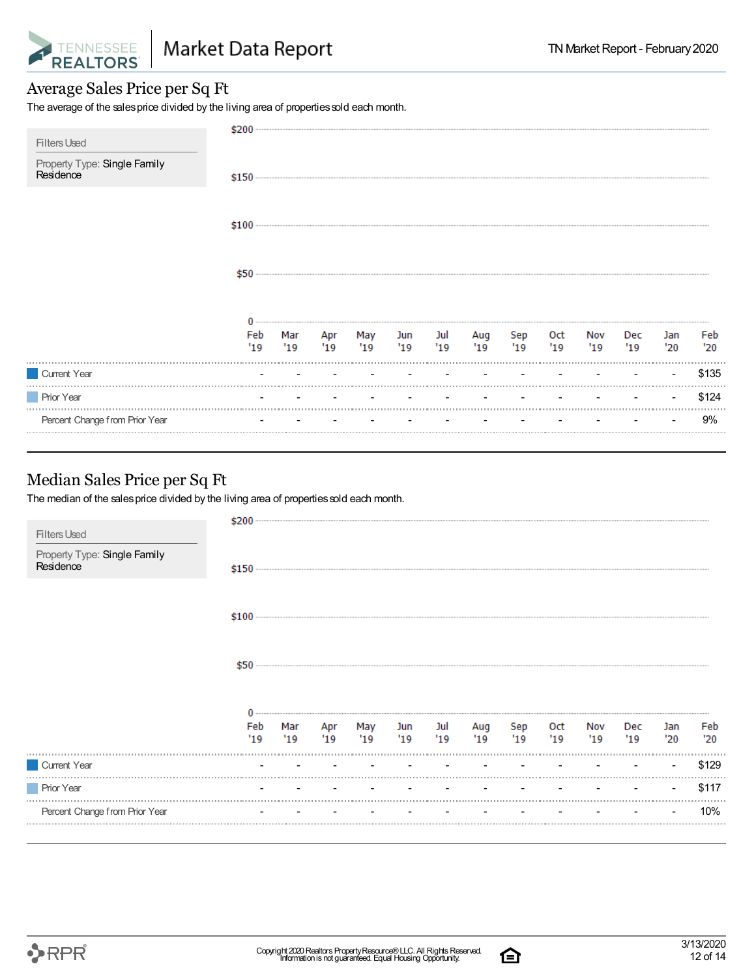

#### Average Sales Price per Sq Ft

The average of the sales price divided by the living area of properties sold each month.

|                                                                  | \$200      |  |                            |            |            |            |            |            |            |           |            |            |
|------------------------------------------------------------------|------------|--|----------------------------|------------|------------|------------|------------|------------|------------|-----------|------------|------------|
| <b>Filters Used</b><br>Property Type: Single Family<br>Residence |            |  |                            |            |            |            |            |            |            |           |            |            |
|                                                                  |            |  |                            |            |            |            |            |            |            |           |            |            |
|                                                                  | \$50       |  |                            |            |            |            |            |            |            |           |            |            |
|                                                                  | Feb<br>'19 |  | Mar Apr May<br>'19 '19 '19 | Jun<br>'19 | Jul<br>'19 | Aug<br>'19 | Sep<br>'19 | 0ct<br>'19 | Nov<br>'19 | Dec<br>19 | Jan<br>'20 | Feb<br>'20 |
| Current Year                                                     |            |  |                            |            |            |            |            |            |            |           |            | \$135      |
| <b>Prior Year</b>                                                |            |  |                            |            |            |            |            |            |            |           |            | \$124      |
| Percent Change from Prior Year                                   |            |  |                            |            |            |            |            |            |            |           |            | 9%         |
|                                                                  |            |  |                            |            |            |            |            |            |            |           |            |            |

#### Median Sales Price per Sq Ft

The median of the sales price divided by the living area of properties sold each month.

| Percent Change from Prior Year            |            |    |                        |                    |            |            |           |            |             |            | 10%        |
|-------------------------------------------|------------|----|------------------------|--------------------|------------|------------|-----------|------------|-------------|------------|------------|
| <b>Prior Year</b>                         |            |    |                        |                    |            |            |           |            |             |            | \$117      |
| Current Year                              |            |    | the company of the     |                    |            |            |           |            |             | $\sim$     | \$129      |
|                                           | Feb<br>'19 | 19 | Mar Apr May<br>'19 '19 | Jun Jul<br>'19 '19 | Aug<br>'19 | Sep<br>'19 | Oct<br>19 | Nov<br>'19 | Dec<br>"19" | Jan<br>'20 | Feb<br>'20 |
|                                           | \$50       |    |                        |                    |            |            |           |            |             |            |            |
|                                           |            |    |                        |                    |            |            |           |            |             |            |            |
| Property Type: Single Family<br>Residence |            |    |                        |                    |            |            |           |            |             |            |            |
| <b>Filters Used</b>                       | \$200      |    |                        |                    |            |            |           |            |             |            |            |

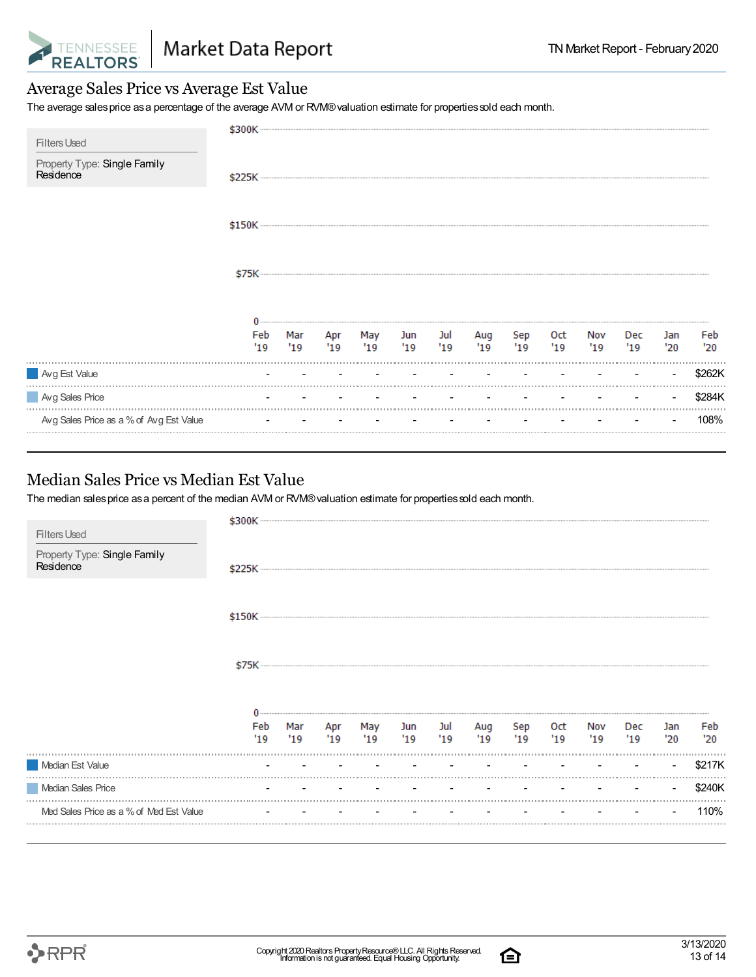

#### Average Sales Price vs Average Est Value

The average sales price as a percentage of the average AVM or RVM® valuation estimate for properties sold each month.

| <b>Filters Used</b>                       | \$300K     |            |                    |            |                    |               |            |            |             |            |            |            |
|-------------------------------------------|------------|------------|--------------------|------------|--------------------|---------------|------------|------------|-------------|------------|------------|------------|
| Property Type: Single Family<br>Residence |            |            |                    |            |                    |               |            |            |             |            |            |            |
|                                           |            |            |                    |            |                    |               |            |            |             |            |            |            |
|                                           | \$75K      |            |                    |            |                    |               |            |            |             |            |            |            |
|                                           | Feb<br>'19 | Mar<br>'19 | Apr May<br>'19 '19 | <b>Jun</b> | Jul<br>$'19$ $'19$ | Aug<br>$19 -$ | Sep<br>'19 | Oct<br>'19 | Nov<br>"19" | Dec<br>'19 | Jan<br>'20 | Feb<br>'20 |
| Avg Est Value                             |            |            |                    |            |                    |               |            |            |             |            |            | \$262K     |
| Avg Sales Price                           |            |            |                    |            |                    |               |            |            |             |            |            | \$284K     |
| Avg Sales Price as a % of Avg Est Value   |            |            |                    |            |                    |               |            |            |             |            |            | 108%       |

#### Median Sales Price vs Median Est Value

The median salesprice asa percent of the median AVM or RVM®valuation estimate for propertiessold each month.

والمستوات

| <b>Filters Used</b>                       | \$300K     |            |           |            |           |            |           |           |            |            |                      |            |            |
|-------------------------------------------|------------|------------|-----------|------------|-----------|------------|-----------|-----------|------------|------------|----------------------|------------|------------|
| Property Type: Single Family<br>Residence | \$225K     |            |           |            |           |            |           |           |            |            |                      |            |            |
|                                           |            |            |           |            |           |            |           |           |            |            |                      |            |            |
|                                           | \$75K      |            |           |            |           |            |           |           |            |            |                      |            |            |
|                                           | Feb<br>'19 | Mar<br>'19 | Apr<br>19 | May<br>'19 | Jun<br>19 | Jul<br>'19 | Aug<br>19 | Sep<br>19 | Oct<br>'19 | Nov<br>'19 | Dec<br>$^{\prime}19$ | Jan<br>'20 | Feb<br>'20 |
| Median Est Value                          |            |            |           |            |           |            |           |           |            |            |                      |            | \$217K     |
| Median Sales Price                        |            |            |           |            |           |            |           |           |            |            |                      |            | \$240K     |
| Med Sales Price as a % of Med Est Value   |            |            |           |            |           |            |           |           |            |            |                      |            | 110%       |